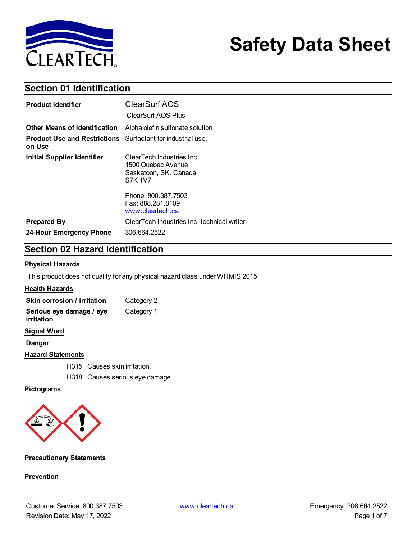

# **Safety Data Sheet**

### **Section 01 Identification**

| <b>Product Identifier</b>                                                    | ClearSurf AOS<br>ClearSurf AOS Plus                                                 |
|------------------------------------------------------------------------------|-------------------------------------------------------------------------------------|
| <b>Other Means of Identification</b>                                         | Alpha olefin sulfonate solution                                                     |
| <b>Product Use and Restrictions</b> Surfactant for industrial use.<br>on Use |                                                                                     |
| Initial Supplier Identifier                                                  | ClearTech Industries Inc.<br>1500 Quebec Avenue<br>Saskatoon, SK. Canada<br>S7K 1V7 |
|                                                                              | Phone: 800.387.7503<br>Fax: 888.281.8109<br>www.cleartech.ca                        |
| <b>Prepared By</b>                                                           | ClearTech Industries Inc. technical writer                                          |
| 24-Hour Emergency Phone                                                      | 306.664.2522                                                                        |

### **Section 02 Hazard Identification**

#### **Physical Hazards**

This product does not qualify for any physical hazard class under WHMIS 2015

#### **Health Hazards**

| Skin corrosion / irritation            | Category 2 |
|----------------------------------------|------------|
| Serious eye damage / eye<br>irritation | Category 1 |

#### **Signal Word**

**Danger**

#### **Hazard Statements**

H315 Causes skin irritation.

H318 Causes serious eye damage.

#### **Pictograms**



#### **Precautionary Statements**

#### **Prevention**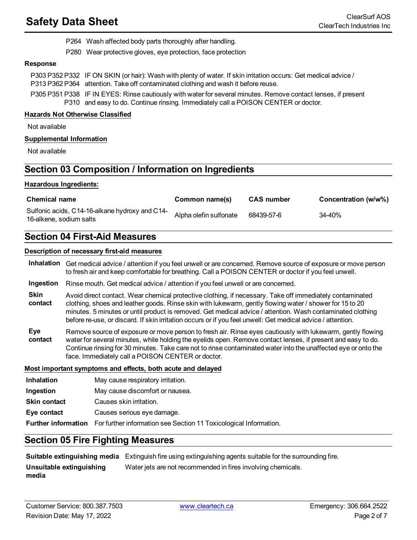### **Safety Data Sheet** ClearSurf AOS

- P264 Wash affected body parts thoroughly after handling.
- P280 Wear protective gloves, eye protection, face protection

#### **Response**

| P303 P352 P332 IF ON SKIN (or hair): Wash with plenty of water. If skin irritation occurs: Get medical advice /<br>P313 P362 P364 attention. Take off contaminated clothing and wash it before reuse. |
|-------------------------------------------------------------------------------------------------------------------------------------------------------------------------------------------------------|
| P305 P351 P338 IF IN EYES: Rinse cautiously with water for several minutes. Remove contact lenses, if present<br>P310 and easy to do. Continue rinsing. Immediately call a POISON CENTER or doctor.   |

#### **Hazards Not Otherwise Classified**

Not available

#### **Supplemental Information**

Not available

### **Section 03 Composition / Information on Ingredients**

#### **Hazardous Ingredients:**

| <b>Chemical name</b>                                                      | Common name(s)         | <b>CAS</b> number | Concentration (w/w%) |
|---------------------------------------------------------------------------|------------------------|-------------------|----------------------|
| Sulfonic acids, C14-16-alkane hydroxy and C14-<br>16-alkene, sodium salts | Alpha olefin sulfonate | 68439-57-6        | 34-40%               |

#### **Section 04 First-Aid Measures**

#### **Description of necessary first-aid measures**

**Inhalation** Get medical advice / attention if you feel unwell or are concerned. Remove source of exposure or move person to fresh air and keep comfortable for breathing. Call a POISON CENTER or doctor if you feel unwell.

- **Ingestion** Rinse mouth. Get medical advice / attention if you feel unwell or are concerned.
- **Skin contact** Avoid direct contact. Wear chemical protective clothing, if necessary. Take off immediately contaminated clothing, shoes and leather goods. Rinse skin with lukewarm, gently flowing water / shower for 15 to 20 minutes. 5 minutes or until product is removed. Get medical advice / attention. Wash contaminated clothing before re-use, or discard. If skin irritation occurs or if you feel unwell: Get medical advice / attention.
- **Eye contact** Remove source of exposure or move person to fresh air. Rinse eyes cautiously with lukewarm, gently flowing water for several minutes, while holding the eyelids open. Remove contact lenses, if present and easy to do. Continue rinsing for 30 minutes. Take care not to rinse contaminated water into the unaffected eye or onto the face. Immediately call a POISON CENTER or doctor.

#### **Most important symptoms and effects, both acute and delayed**

| <b>Inhalation</b>   | May cause respiratory irritation.                                                            |
|---------------------|----------------------------------------------------------------------------------------------|
| Ingestion           | May cause discomfort or nausea.                                                              |
| <b>Skin contact</b> | Causes skin irritation.                                                                      |
| Eye contact         | Causes serious eye damage.                                                                   |
|                     | <b>Further information</b> For further information see Section 11 Toxicological Information. |

#### **Section 05 Fire Fighting Measures**

|                                   | <b>Suitable extinguishing media</b> Extinguish fire using extinguishing agents suitable for the surrounding fire. |
|-----------------------------------|-------------------------------------------------------------------------------------------------------------------|
| Unsuitable extinguishing<br>media | Water jets are not recommended in fires involving chemicals.                                                      |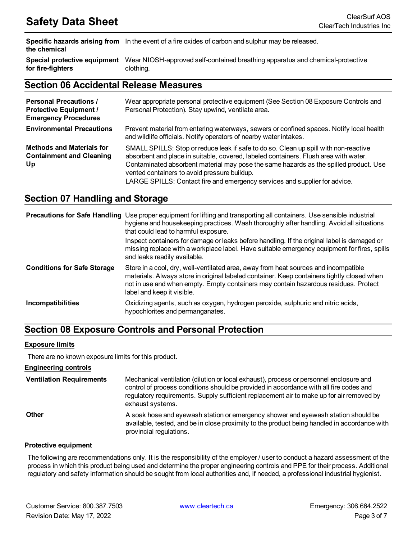**Specific hazards arising from** In the event of a fire oxides of carbon and sulphur may be released. **the chemical**

**Special protective equipment** Wear NIOSH-approved self-contained breathing apparatus and chemical-protective **for fire-fighters** clothing.

#### **Section 06 Accidental Release Measures**

| <b>Personal Precautions /</b><br><b>Protective Equipment /</b><br><b>Emergency Procedures</b> | Wear appropriate personal protective equipment (See Section 08 Exposure Controls and<br>Personal Protection). Stay upwind, ventilate area.                                                                                                                                                                                                                                                          |
|-----------------------------------------------------------------------------------------------|-----------------------------------------------------------------------------------------------------------------------------------------------------------------------------------------------------------------------------------------------------------------------------------------------------------------------------------------------------------------------------------------------------|
| <b>Environmental Precautions</b>                                                              | Prevent material from entering waterways, sewers or confined spaces. Notify local health<br>and wildlife officials. Notify operators of nearby water intakes.                                                                                                                                                                                                                                       |
| <b>Methods and Materials for</b><br><b>Containment and Cleaning</b><br>Up                     | SMALL SPILLS: Stop or reduce leak if safe to do so. Clean up spill with non-reactive<br>absorbent and place in suitable, covered, labeled containers. Flush area with water.<br>Contaminated absorbent material may pose the same hazards as the spilled product. Use<br>vented containers to avoid pressure buildup.<br>LARGE SPILLS: Contact fire and emergency services and supplier for advice. |

### **Section 07 Handling and Storage**

|                                    | <b>Precautions for Safe Handling</b> Use proper equipment for lifting and transporting all containers. Use sensible industrial<br>hygiene and housekeeping practices. Wash thoroughly after handling. Avoid all situations<br>that could lead to harmful exposure.<br>Inspect containers for damage or leaks before handling. If the original label is damaged or<br>missing replace with a workplace label. Have suitable emergency equipment for fires, spills<br>and leaks readily available. |
|------------------------------------|--------------------------------------------------------------------------------------------------------------------------------------------------------------------------------------------------------------------------------------------------------------------------------------------------------------------------------------------------------------------------------------------------------------------------------------------------------------------------------------------------|
| <b>Conditions for Safe Storage</b> | Store in a cool, dry, well-ventilated area, away from heat sources and incompatible<br>materials. Always store in original labeled container. Keep containers tightly closed when<br>not in use and when empty. Empty containers may contain hazardous residues. Protect<br>label and keep it visible.                                                                                                                                                                                           |
| <b>Incompatibilities</b>           | Oxidizing agents, such as oxygen, hydrogen peroxide, sulphuric and nitric acids,<br>hypochlorites and permanganates.                                                                                                                                                                                                                                                                                                                                                                             |

### **Section 08 Exposure Controls and Personal Protection**

#### **Exposure limits**

There are no known exposure limits for this product.

#### **Engineering controls**

**Ventilation Requirements** Mechanical ventilation (dilution or local exhaust), process or personnel enclosure and control of process conditions should be provided in accordance with all fire codes and regulatory requirements. Supply sufficient replacement air to make up for air removed by exhaust systems. **Other A** soak hose and eyewash station or emergency shower and eyewash station should be available, tested, and be in close proximity to the product being handled in accordance with provincial regulations.

#### **Protective equipment**

The following are recommendations only. It is the responsibility of the employer / user to conduct a hazard assessment of the process in which this product being used and determine the proper engineering controls and PPE for their process. Additional regulatory and safety information should be sought from local authorities and, if needed, a professional industrial hygienist.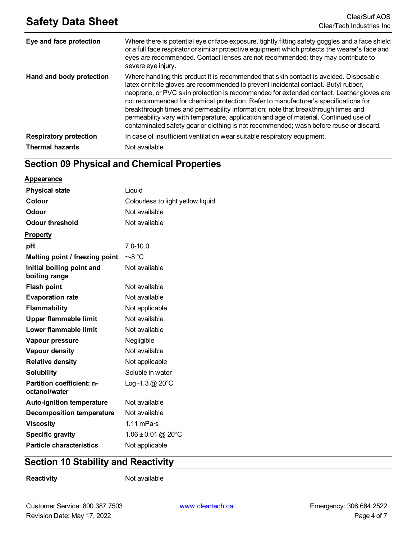| Eye and face protection       | Where there is potential eye or face exposure, tightly fitting safety goggles and a face shield<br>or a full face respirator or similar protective equipment which protects the wearer's face and<br>eyes are recommended. Contact lenses are not recommended; they may contribute to<br>severe eye injury.                                                                                                                                                                                                                                                                                                                               |
|-------------------------------|-------------------------------------------------------------------------------------------------------------------------------------------------------------------------------------------------------------------------------------------------------------------------------------------------------------------------------------------------------------------------------------------------------------------------------------------------------------------------------------------------------------------------------------------------------------------------------------------------------------------------------------------|
| Hand and body protection      | Where handling this product it is recommended that skin contact is avoided. Disposable<br>latex or nitrile gloves are recommended to prevent incidental contact. Butyl rubber,<br>neoprene, or PVC skin protection is recommended for extended contact. Leather gloves are<br>not recommended for chemical protection. Refer to manufacturer's specifications for<br>breakthrough times and permeability information; note that breakthrough times and<br>permeability vary with temperature, application and age of material. Continued use of<br>contaminated safety gear or clothing is not recommended; wash before reuse or discard. |
| <b>Respiratory protection</b> | In case of insufficient ventilation wear suitable respiratory equipment.                                                                                                                                                                                                                                                                                                                                                                                                                                                                                                                                                                  |
| <b>Thermal hazards</b>        | Not available                                                                                                                                                                                                                                                                                                                                                                                                                                                                                                                                                                                                                             |

### **Section 09 Physical and Chemical Properties**

| <b>Appearance</b>                                 |                                   |
|---------------------------------------------------|-----------------------------------|
| <b>Physical state</b>                             | Liquid                            |
| Colour                                            | Colourless to light yellow liquid |
| <b>Odour</b>                                      | Not available                     |
| <b>Odour threshold</b>                            | Not available                     |
| <b>Property</b>                                   |                                   |
| рH                                                | $7.0 - 10.0$                      |
| Melting point / freezing point                    | $-8^{\circ}$ C                    |
| Initial boiling point and<br>boiling range        | Not available                     |
| <b>Flash point</b>                                | Not available                     |
| <b>Evaporation rate</b>                           | Not available                     |
| Flammability                                      | Not applicable                    |
| <b>Upper flammable limit</b>                      | Not available                     |
| Lower flammable limit                             | Not available                     |
| Vapour pressure                                   | Negligible                        |
| Vapour density                                    | Not available                     |
| <b>Relative density</b>                           | Not applicable                    |
| <b>Solubility</b>                                 | Soluble in water                  |
| <b>Partition coefficient: n-</b><br>octanol/water | Log -1.3 $@$ 20 $^{\circ}$ C      |
| <b>Auto-ignition temperature</b>                  | Not available                     |
| <b>Decomposition temperature</b>                  | Not available                     |
| <b>Viscosity</b>                                  | 1.11 mPa $\cdot$ s                |
| <b>Specific gravity</b>                           | $1.06 \pm 0.01$ @ 20°C            |
| <b>Particle characteristics</b>                   | Not applicable                    |

### **Section 10 Stability and Reactivity**

**Reactivity** Not available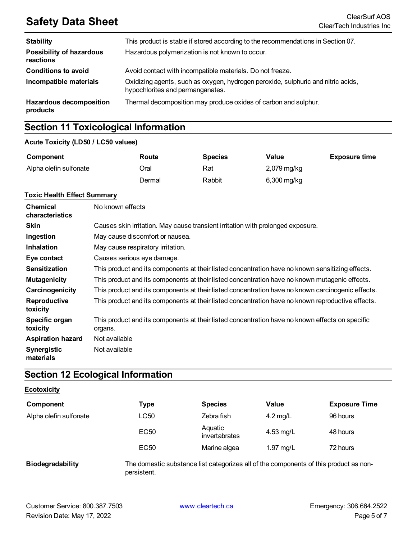## **Safety Data Sheet** ClearSurf AOS<br>ClearTech Industries Inc.

| <b>Stability</b>                             | This product is stable if stored according to the recommendations in Section 07.                                     |
|----------------------------------------------|----------------------------------------------------------------------------------------------------------------------|
| <b>Possibility of hazardous</b><br>reactions | Hazardous polymerization is not known to occur.                                                                      |
| <b>Conditions to avoid</b>                   | Avoid contact with incompatible materials. Do not freeze.                                                            |
| Incompatible materials                       | Oxidizing agents, such as oxygen, hydrogen peroxide, sulphuric and nitric acids,<br>hypochlorites and permanganates. |
| <b>Hazardous decomposition</b><br>products   | Thermal decomposition may produce oxides of carbon and sulphur.                                                      |

### **Section 11 Toxicological Information**

#### **Acute Toxicity (LD50 / LC50 values)**

| Component              | Route  | <b>Species</b> | Value         | <b>Exposure time</b> |
|------------------------|--------|----------------|---------------|----------------------|
| Alpha olefin sulfonate | Oral   | Rat            | 2,079 mg/kg   |                      |
|                        | Dermal | Rabbit         | $6,300$ mg/kg |                      |

#### **Toxic Health Effect Summary**

| <b>Chemical</b><br>characteristics | No known effects                                                                                           |
|------------------------------------|------------------------------------------------------------------------------------------------------------|
| <b>Skin</b>                        | Causes skin irritation. May cause transient irritation with prolonged exposure.                            |
| Ingestion                          | May cause discomfort or nausea.                                                                            |
| <b>Inhalation</b>                  | May cause respiratory irritation.                                                                          |
| Eye contact                        | Causes serious eye damage.                                                                                 |
| <b>Sensitization</b>               | This product and its components at their listed concentration have no known sensitizing effects.           |
| <b>Mutagenicity</b>                | This product and its components at their listed concentration have no known mutagenic effects.             |
| Carcinogenicity                    | This product and its components at their listed concentration have no known carcinogenic effects.          |
| Reproductive<br>toxicity           | This product and its components at their listed concentration have no known reproductive effects.          |
| Specific organ<br>toxicity         | This product and its components at their listed concentration have no known effects on specific<br>organs. |
| <b>Aspiration hazard</b>           | Not available                                                                                              |
| Synergistic<br>materials           | Not available                                                                                              |

### **Section 12 Ecological Information**

#### **Ecotoxicity**

| Component              | Type             | <b>Species</b>           | Value      | <b>Exposure Time</b> |
|------------------------|------------------|--------------------------|------------|----------------------|
| Alpha olefin sulfonate | LC50             | Zebra fish               | $4.2$ mg/L | 96 hours             |
|                        | EC50             | Aquatic<br>invertabrates | 4.53 mg/L  | 48 hours             |
|                        | EC <sub>50</sub> | Marine algea             | 1.97 mg/L  | 72 hours             |

**Biodegradability** The domestic substance list categorizes all of the components of this product as nonpersistent.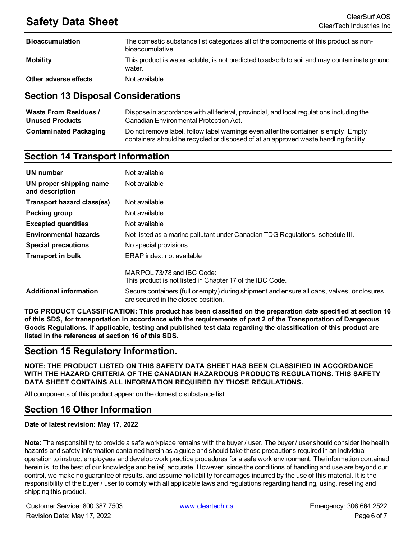### **Safety Data Sheet** ClearSurf AOS

| <b>Bioaccumulation</b> | The domestic substance list categorizes all of the components of this product as non-<br>bioaccumulative. |
|------------------------|-----------------------------------------------------------------------------------------------------------|
| <b>Mobility</b>        | This product is water soluble, is not predicted to adsorb to soil and may contaminate ground<br>water.    |
| Other adverse effects  | Not available                                                                                             |

#### **Section 13 Disposal Considerations**

| <b>Waste From Residues /</b>  | Dispose in accordance with all federal, provincial, and local regulations including the                                                                                     |
|-------------------------------|-----------------------------------------------------------------------------------------------------------------------------------------------------------------------------|
| <b>Unused Products</b>        | Canadian Environmental Protection Act.                                                                                                                                      |
| <b>Contaminated Packaging</b> | Do not remove label, follow label warnings even after the container is empty. Empty<br>containers should be recycled or disposed of at an approved waste handling facility. |

#### **Section 14 Transport Information**

| UN number                                  | Not available                                                                                                                     |
|--------------------------------------------|-----------------------------------------------------------------------------------------------------------------------------------|
| UN proper shipping name<br>and description | Not available                                                                                                                     |
| Transport hazard class(es)                 | Not available                                                                                                                     |
| Packing group                              | Not available                                                                                                                     |
| <b>Excepted quantities</b>                 | Not available                                                                                                                     |
| <b>Environmental hazards</b>               | Not listed as a marine pollutant under Canadian TDG Regulations, schedule III.                                                    |
| <b>Special precautions</b>                 | No special provisions                                                                                                             |
| <b>Transport in bulk</b>                   | ERAP index: not available                                                                                                         |
|                                            | MARPOL 73/78 and IBC Code:<br>This product is not listed in Chapter 17 of the IBC Code.                                           |
| <b>Additional information</b>              | Secure containers (full or empty) during shipment and ensure all caps, valves, or closures<br>are secured in the closed position. |

**TDG PRODUCT CLASSIFICATION: This product has been classified on the preparation date specified at section 16** of this SDS, for transportation in accordance with the requirements of part 2 of the Transportation of Dangerous Goods Regulations. If applicable, testing and published test data regarding the classification of this product are **listed in the references at section 16 of this SDS.**

#### **Section 15 Regulatory Information.**

**NOTE: THE PRODUCT LISTED ON THIS SAFETY DATA SHEET HAS BEEN CLASSIFIED IN ACCORDANCE WITH THE HAZARD CRITERIA OF THE CANADIAN HAZARDOUS PRODUCTS REGULATIONS. THIS SAFETY DATA SHEET CONTAINS ALL INFORMATION REQUIRED BY THOSE REGULATIONS.**

All components of this product appear on the domestic substance list.

### **Section 16 Other Information**

**Date of latest revision: May 17, 2022**

**Note:** The responsibility to provide a safe workplace remains with the buyer / user. The buyer / user should consider the health hazards and safety information contained herein as a guide and should take those precautions required in an individual operation to instruct employees and develop work practice procedures for a safe work environment. The information contained herein is, to the best of our knowledge and belief, accurate. However, since the conditions of handling and use are beyond our control, we make no guarantee of results, and assume no liability for damages incurred by the use of this material. It is the responsibility of the buyer / user to comply with all applicable laws and regulations regarding handling, using, reselling and shipping this product.